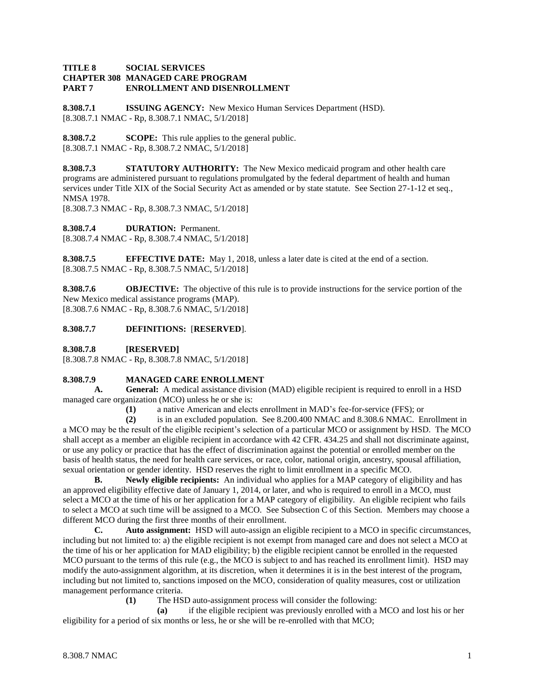### **TITLE 8 SOCIAL SERVICES CHAPTER 308 MANAGED CARE PROGRAM PART 7 ENROLLMENT AND DISENROLLMENT**

**8.308.7.1 ISSUING AGENCY:** New Mexico Human Services Department (HSD). [8.308.7.1 NMAC - Rp, 8.308.7.1 NMAC, 5/1/2018]

**8.308.7.2 SCOPE:** This rule applies to the general public. [8.308.7.1 NMAC - Rp, 8.308.7.2 NMAC, 5/1/2018]

**8.308.7.3 STATUTORY AUTHORITY:** The New Mexico medicaid program and other health care programs are administered pursuant to regulations promulgated by the federal department of health and human services under Title XIX of the Social Security Act as amended or by state statute. See Section 27-1-12 et seq., NMSA 1978.

[8.308.7.3 NMAC - Rp, 8.308.7.3 NMAC, 5/1/2018]

**8.308.7.4 DURATION:** Permanent.

[8.308.7.4 NMAC - Rp, 8.308.7.4 NMAC, 5/1/2018]

**8.308.7.5 EFFECTIVE DATE:** May 1, 2018, unless a later date is cited at the end of a section. [8.308.7.5 NMAC - Rp, 8.308.7.5 NMAC, 5/1/2018]

**8.308.7.6 OBJECTIVE:** The objective of this rule is to provide instructions for the service portion of the New Mexico medical assistance programs (MAP). [8.308.7.6 NMAC - Rp, 8.308.7.6 NMAC, 5/1/2018]

## **8.308.7.7 DEFINITIONS:** [**RESERVED**].

**8.308.7.8 [RESERVED]**

[8.308.7.8 NMAC - Rp, 8.308.7.8 NMAC, 5/1/2018]

# **8.308.7.9 MANAGED CARE ENROLLMENT**

**A. General:** A medical assistance division (MAD) eligible recipient is required to enroll in a HSD managed care organization (MCO) unless he or she is:

**(1)** a native American and elects enrollment in MAD's fee-for-service (FFS); or

**(2)** is in an excluded population. See 8.200.400 NMAC and 8.308.6 NMAC. Enrollment in a MCO may be the result of the eligible recipient's selection of a particular MCO or assignment by HSD. The MCO shall accept as a member an eligible recipient in accordance with 42 CFR. 434.25 and shall not discriminate against, or use any policy or practice that has the effect of discrimination against the potential or enrolled member on the basis of health status, the need for health care services, or race, color, national origin, ancestry, spousal affiliation, sexual orientation or gender identity. HSD reserves the right to limit enrollment in a specific MCO.

**B. Newly eligible recipients:** An individual who applies for a MAP category of eligibility and has an approved eligibility effective date of January 1, 2014, or later, and who is required to enroll in a MCO, must select a MCO at the time of his or her application for a MAP category of eligibility. An eligible recipient who fails to select a MCO at such time will be assigned to a MCO. See Subsection C of this Section. Members may choose a different MCO during the first three months of their enrollment.

**C. Auto assignment:** HSD will auto-assign an eligible recipient to a MCO in specific circumstances, including but not limited to: a) the eligible recipient is not exempt from managed care and does not select a MCO at the time of his or her application for MAD eligibility; b) the eligible recipient cannot be enrolled in the requested MCO pursuant to the terms of this rule (e.g., the MCO is subject to and has reached its enrollment limit). HSD may modify the auto-assignment algorithm, at its discretion, when it determines it is in the best interest of the program, including but not limited to, sanctions imposed on the MCO, consideration of quality measures, cost or utilization management performance criteria.

**(1)** The HSD auto-assignment process will consider the following:

**(a)** if the eligible recipient was previously enrolled with a MCO and lost his or her eligibility for a period of six months or less, he or she will be re-enrolled with that MCO;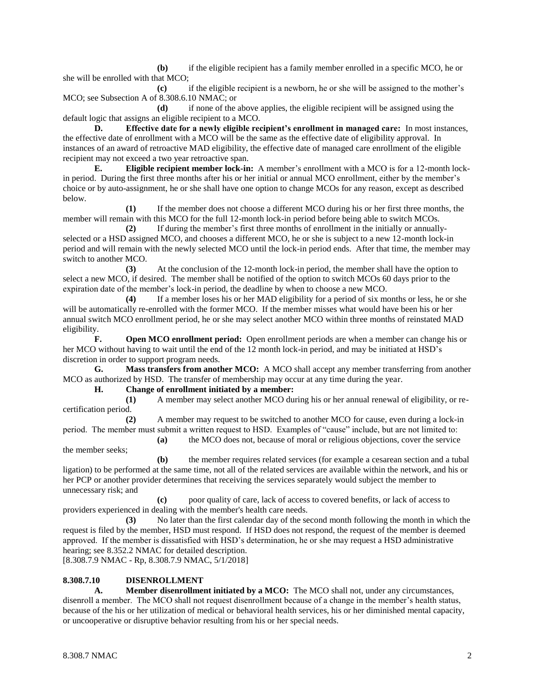**(b)** if the eligible recipient has a family member enrolled in a specific MCO, he or she will be enrolled with that MCO;

**(c)** if the eligible recipient is a newborn, he or she will be assigned to the mother's MCO; see Subsection A of 8.308.6.10 NMAC; or

**(d)** if none of the above applies, the eligible recipient will be assigned using the default logic that assigns an eligible recipient to a MCO.

**D. Effective date for a newly eligible recipient's enrollment in managed care:** In most instances, the effective date of enrollment with a MCO will be the same as the effective date of eligibility approval. In instances of an award of retroactive MAD eligibility, the effective date of managed care enrollment of the eligible recipient may not exceed a two year retroactive span.

**E. Eligible recipient member lock-in:** A member's enrollment with a MCO is for a 12-month lockin period. During the first three months after his or her initial or annual MCO enrollment, either by the member's choice or by auto-assignment, he or she shall have one option to change MCOs for any reason, except as described below.

**(1)** If the member does not choose a different MCO during his or her first three months, the member will remain with this MCO for the full 12-month lock-in period before being able to switch MCOs.

**(2)** If during the member's first three months of enrollment in the initially or annuallyselected or a HSD assigned MCO, and chooses a different MCO, he or she is subject to a new 12-month lock-in period and will remain with the newly selected MCO until the lock-in period ends. After that time, the member may switch to another MCO.

**(3)** At the conclusion of the 12-month lock-in period, the member shall have the option to select a new MCO, if desired. The member shall be notified of the option to switch MCOs 60 days prior to the expiration date of the member's lock-in period, the deadline by when to choose a new MCO.

**(4)** If a member loses his or her MAD eligibility for a period of six months or less, he or she will be automatically re-enrolled with the former MCO. If the member misses what would have been his or her annual switch MCO enrollment period, he or she may select another MCO within three months of reinstated MAD eligibility.

**F. Open MCO enrollment period:** Open enrollment periods are when a member can change his or her MCO without having to wait until the end of the 12 month lock-in period, and may be initiated at HSD's discretion in order to support program needs.

**G. Mass transfers from another MCO:** A MCO shall accept any member transferring from another MCO as authorized by HSD. The transfer of membership may occur at any time during the year.

**H. Change of enrollment initiated by a member:**

**(1)** A member may select another MCO during his or her annual renewal of eligibility, or recertification period.

**(2)** A member may request to be switched to another MCO for cause, even during a lock-in period. The member must submit a written request to HSD. Examples of "cause" include, but are not limited to:

**(a)** the MCO does not, because of moral or religious objections, cover the service

**(b)** the member requires related services (for example a cesarean section and a tubal ligation) to be performed at the same time, not all of the related services are available within the network, and his or her PCP or another provider determines that receiving the services separately would subject the member to unnecessary risk; and

**(c)** poor quality of care, lack of access to covered benefits, or lack of access to providers experienced in dealing with the member's health care needs.

**(3)** No later than the first calendar day of the second month following the month in which the request is filed by the member, HSD must respond. If HSD does not respond, the request of the member is deemed approved. If the member is dissatisfied with HSD's determination, he or she may request a HSD administrative hearing; see 8.352.2 NMAC for detailed description.

[8.308.7.9 NMAC - Rp, 8.308.7.9 NMAC, 5/1/2018]

### **8.308.7.10 DISENROLLMENT**

**A. Member disenrollment initiated by a MCO:** The MCO shall not, under any circumstances, disenroll a member. The MCO shall not request disenrollment because of a change in the member's health status, because of the his or her utilization of medical or behavioral health services, his or her diminished mental capacity, or uncooperative or disruptive behavior resulting from his or her special needs.

the member seeks;